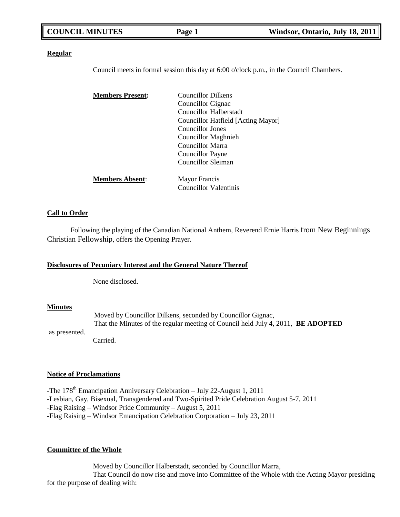| <b>COUNCIL MINUTES</b> | Page 1 | Windsor, Ontario, July 18, 2011 |
|------------------------|--------|---------------------------------|
|                        |        |                                 |

### **Regular**

Council meets in formal session this day at 6:00 o'clock p.m., in the Council Chambers.

| <b>Members Present:</b> | <b>Councillor Dilkens</b>          |  |
|-------------------------|------------------------------------|--|
|                         | Councillor Gignac                  |  |
|                         | Councillor Halberstadt             |  |
|                         | Councillor Hatfield [Acting Mayor] |  |
|                         | Councillor Jones                   |  |
|                         | <b>Councillor Maghnieh</b>         |  |
|                         | <b>Councillor Marra</b>            |  |
|                         | Councillor Payne                   |  |
|                         | Councillor Sleiman                 |  |
| <b>Members Absent:</b>  | <b>Mayor Francis</b>               |  |
|                         | Councillor Valentinis              |  |

## **Call to Order**

Following the playing of the Canadian National Anthem, Reverend Ernie Harris from New Beginnings Christian Fellowship, offers the Opening Prayer.

#### **Disclosures of Pecuniary Interest and the General Nature Thereof**

None disclosed.

### **Minutes**

as presented.

Moved by Councillor Dilkens, seconded by Councillor Gignac, That the Minutes of the regular meeting of Council held July 4, 2011, **BE ADOPTED**

Carried.

## **Notice of Proclamations**

-The 178<sup>th</sup> Emancipation Anniversary Celebration – July 22-August 1, 2011 -Lesbian, Gay, Bisexual, Transgendered and Two-Spirited Pride Celebration August 5-7, 2011 -Flag Raising – Windsor Pride Community – August 5, 2011 -Flag Raising – Windsor Emancipation Celebration Corporation – July 23, 2011

#### **Committee of the Whole**

Moved by Councillor Halberstadt, seconded by Councillor Marra, That Council do now rise and move into Committee of the Whole with the Acting Mayor presiding for the purpose of dealing with: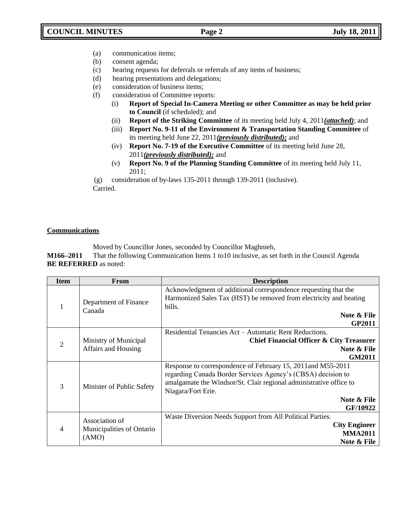- (a) communication items;
- (b) consent agenda;
- (c) hearing requests for deferrals or referrals of any items of business;
- (d) hearing presentations and delegations;
- (e) consideration of business items;
- (f) consideration of Committee reports:
	- (i) **Report of Special In-Camera Meeting or other Committee as may be held prior to Council** (if scheduled); and
	- (ii) **Report of the Striking Committee** of its meeting held July 4, 2011*(attached)*; and
	- (iii) **Report No. 9-11 of the Environment & Transportation Standing Committee** of its meeting held June 22, 2011*(previously distributed);* and
	- (iv) **Report No. 7-19 of the Executive Committee** of its meeting held June 28, 2011*(previously distributed);* and
	- (v) **Report No. 9 of the Planning Standing Committee** of its meeting held July 11, 2011;

(g) consideration of by-laws 135-2011 through 139-2011 (inclusive). Carried.

# **Communications**

Moved by Councillor Jones, seconded by Councillor Maghnieh,

**M166–2011** That the following Communication Items 1 to10 inclusive, as set forth in the Council Agenda **BE REFERRED** as noted:

| <b>Item</b>    | <b>From</b>                                          | <b>Description</b>                                                 |  |
|----------------|------------------------------------------------------|--------------------------------------------------------------------|--|
|                | Department of Finance<br>Canada                      | Acknowledgment of additional correspondence requesting that the    |  |
|                |                                                      | Harmonized Sales Tax (HST) be removed from electricity and heating |  |
|                |                                                      | bills.                                                             |  |
|                |                                                      | Note & File                                                        |  |
|                |                                                      | <b>GP2011</b>                                                      |  |
|                |                                                      | Residential Tenancies Act – Automatic Rent Reductions.             |  |
| $\overline{2}$ | Ministry of Municipal<br>Affairs and Housing         | Chief Financial Officer & City Treasurer                           |  |
|                |                                                      | Note & File                                                        |  |
|                |                                                      | <b>GM2011</b>                                                      |  |
|                |                                                      | Response to correspondence of February 15, 2011 and M55-2011       |  |
|                | Minister of Public Safety                            | regarding Canada Border Services Agency's (CBSA) decision to       |  |
| 3              |                                                      | amalgamate the Windsor/St. Clair regional administrative office to |  |
|                |                                                      | Niagara/Fort Erie.                                                 |  |
|                |                                                      | Note & File                                                        |  |
|                |                                                      | GF/10922                                                           |  |
| 4              |                                                      | Waste Diversion Needs Support from All Political Parties.          |  |
|                | Association of<br>Municipalities of Ontario<br>(AMO) | <b>City Engineer</b>                                               |  |
|                |                                                      | <b>MMA2011</b>                                                     |  |
|                |                                                      | Note & File                                                        |  |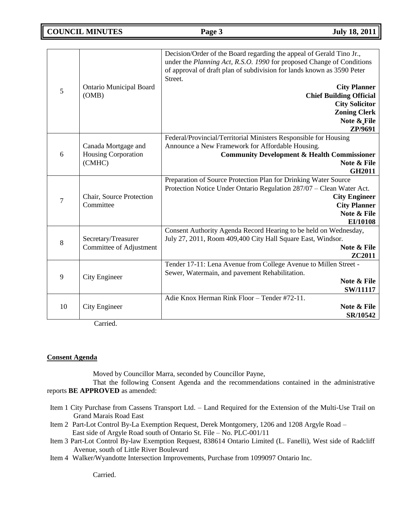| 5  | <b>Ontario Municipal Board</b><br>(OMB)                     | Decision/Order of the Board regarding the appeal of Gerald Tino Jr.,<br>under the Planning Act, R.S.O. 1990 for proposed Change of Conditions<br>of approval of draft plan of subdivision for lands known as 3590 Peter<br>Street.<br><b>City Planner</b><br><b>Chief Building Official</b><br><b>City Solicitor</b><br><b>Zoning Clerk</b><br>Note & File<br>ZP/9691 |
|----|-------------------------------------------------------------|-----------------------------------------------------------------------------------------------------------------------------------------------------------------------------------------------------------------------------------------------------------------------------------------------------------------------------------------------------------------------|
| 6  | Canada Mortgage and<br><b>Housing Corporation</b><br>(CMHC) | Federal/Provincial/Territorial Ministers Responsible for Housing<br>Announce a New Framework for Affordable Housing.<br><b>Community Development &amp; Health Commissioner</b><br>Note & File<br><b>GH2011</b>                                                                                                                                                        |
| 7  | Chair, Source Protection<br>Committee                       | Preparation of Source Protection Plan for Drinking Water Source<br>Protection Notice Under Ontario Regulation 287/07 - Clean Water Act.<br><b>City Engineer</b><br><b>City Planner</b><br>Note & File<br>EI/10108                                                                                                                                                     |
| 8  | Secretary/Treasurer<br>Committee of Adjustment              | Consent Authority Agenda Record Hearing to be held on Wednesday,<br>July 27, 2011, Room 409,400 City Hall Square East, Windsor.<br>Note & File<br>ZC2011                                                                                                                                                                                                              |
| 9  | <b>City Engineer</b>                                        | Tender 17-11: Lena Avenue from College Avenue to Millen Street -<br>Sewer, Watermain, and pavement Rehabilitation.<br>Note & File<br><b>SW/11117</b>                                                                                                                                                                                                                  |
| 10 | City Engineer                                               | Adie Knox Herman Rink Floor - Tender #72-11.<br>Note & File<br>SR/10542                                                                                                                                                                                                                                                                                               |

Carried.

## **Consent Agenda**

Moved by Councillor Marra, seconded by Councillor Payne,

That the following Consent Agenda and the recommendations contained in the administrative reports **BE APPROVED** as amended:

- Item 1 City Purchase from Cassens Transport Ltd. Land Required for the Extension of the Multi-Use Trail on Grand Marais Road East
- Item 2 Part-Lot Control By-La Exemption Request, Derek Montgomery, 1206 and 1208 Argyle Road East side of Argyle Road south of Ontario St. File – No. PLC-001/11
- Item 3 Part-Lot Control By-law Exemption Request, 838614 Ontario Limited (L. Fanelli), West side of Radcliff Avenue, south of Little River Boulevard
- Item 4 Walker/Wyandotte Intersection Improvements, Purchase from 1099097 Ontario Inc.

Carried.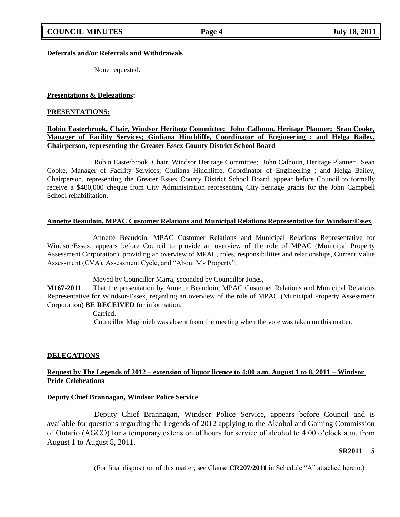## **Deferrals and/or Referrals and Withdrawals**

None requested.

## **Presentations & Delegations:**

### **PRESENTATIONS:**

## **Robin Easterbrook, Chair, Windsor Heritage Committee; John Calhoun, Heritage Planner; Sean Cooke, Manager of Facility Services; Giuliana Hinchliffe, Coordinator of Engineering ; and Helga Bailey, Chairperson, representing the Greater Essex County District School Board**

Robin Easterbrook, Chair, Windsor Heritage Committee; John Calhoun, Heritage Planner; Sean Cooke, Manager of Facility Services; Giuliana Hinchliffe, Coordinator of Engineering ; and Helga Bailey, Chairperson, representing the Greater Essex County District School Board, appear before Council to formally receive a \$400,000 cheque from City Administration representing City heritage grants for the John Campbell School rehabilitation.

## **Annette Beaudoin, MPAC Customer Relations and Municipal Relations Representative for Windsor/Essex**

Annette Beaudoin, MPAC Customer Relations and Municipal Relations Representative for Windsor/Essex, appears before Council to provide an overview of the role of MPAC (Municipal Property Assessment Corporation), providing an overview of MPAC, roles, responsibilities and relationships, Current Value Assessment (CVA), Assessment Cycle, and "About My Property".

Moved by Councillor Marra, seconded by Councillor Jones,

**M167-2011** That the presentation by Annette Beaudoin, MPAC Customer Relations and Municipal Relations Representative for Windsor-Essex, regarding an overview of the role of MPAC (Municipal Property Assessment Corporation) **BE RECEIVED** for information.

Carried.

Councillor Maghnieh was absent from the meeting when the vote was taken on this matter.

## **DELEGATIONS**

# **Request by The Legends of 2012 – extension of liquor licence to 4:00 a.m. August 1 to 8, 2011 – Windsor Pride Celebrations**

### **Deputy Chief Brannagan, Windsor Police Service**

Deputy Chief Brannagan, Windsor Police Service, appears before Council and is available for questions regarding the Legends of 2012 applying to the Alcohol and Gaming Commission of Ontario (AGCO) for a temporary extension of hours for service of alcohol to 4:00 o"clock a.m. from August 1 to August 8, 2011.

### **SR2011 5**

(For final disposition of this matter, see Clause **CR207/2011** in Schedule "A" attached hereto.)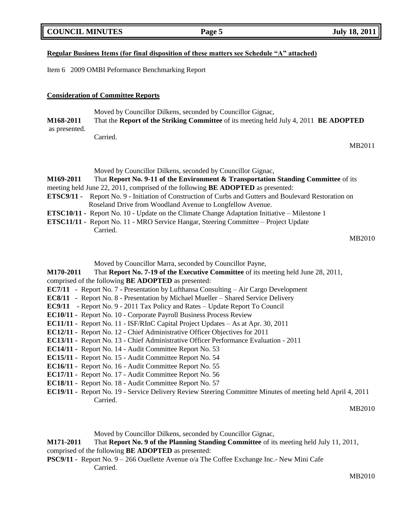| <b>COUNCIL MINUTES</b> |  |
|------------------------|--|
|                        |  |

# **Regular Business Items (for final disposition of these matters see Schedule "A" attached)**

Item 6 2009 OMBI Peformance Benchmarking Report

# **Consideration of Committee Reports**

Moved by Councillor Dilkens, seconded by Councillor Gignac,

**M168-2011** That the **Report of the Striking Committee** of its meeting held July 4, 2011 **BE ADOPTED** as presented.

Carried.

MB2011

| Moved by Councillor Dilkens, seconded by Councillor Gignac,                                                   |  |
|---------------------------------------------------------------------------------------------------------------|--|
| <b>M169-2011</b><br>That Report No. 9-11 of the Environment & Transportation Standing Committee of its        |  |
| meeting held June 22, 2011, comprised of the following <b>BE ADOPTED</b> as presented:                        |  |
| <b>ETSC9/11 -</b> Report No. 9 - Initiation of Construction of Curbs and Gutters and Boulevard Restoration on |  |
| Roseland Drive from Woodland Avenue to Longfellow Avenue.                                                     |  |
| <b>ETSC10/11 -</b> Report No. 10 - Update on the Climate Change Adaptation Initiative – Milestone 1           |  |
| <b>ETSC11/11 -</b> Report No. 11 - MRO Service Hangar, Steering Committee – Project Update                    |  |
| Carried.                                                                                                      |  |

### MB2010

Moved by Councillor Marra, seconded by Councillor Payne,

**M170-2011** That **Report No. 7-19 of the Executive Committee** of its meeting held June 28, 2011, comprised of the following **BE ADOPTED** as presented:

- **EC7/11 -** Report No. 7 Presentation by Lufthansa Consulting Air Cargo Development
- **EC8/11 -** Report No. 8 Presentation by Michael Mueller Shared Service Delivery
- **EC9/11 -** Report No. 9 2011 Tax Policy and Rates Update Report To Council
- **EC10/11** Report No. 10 Corporate Payroll Business Process Review
- **EC11/11** Report No. 11 ISF/RInC Capital Project Updates As at Apr. 30, 2011
- **EC12/11** Report No. 12 Chief Administrative Officer Objectives for 2011
- **EC13/11** Report No. 13 Chief Administrative Officer Performance Evaluation 2011
- **EC14/11** Report No. 14 Audit Committee Report No. 53
- **EC15/11** Report No. 15 Audit Committee Report No. 54
- **EC16/11** Report No. 16 Audit Committee Report No. 55
- **EC17/11** Report No. 17 Audit Committee Report No. 56
- **EC18/11** Report No. 18 Audit Committee Report No. 57
- **EC19/11** Report No. 19 Service Delivery Review Steering Committee Minutes of meeting held April 4, 2011 Carried.

### MB2010

Moved by Councillor Dilkens, seconded by Councillor Gignac,

# **M171-2011** That **Report No. 9 of the Planning Standing Committee** of its meeting held July 11, 2011,

## comprised of the following **BE ADOPTED** as presented:

**PSC9/11 -** Report No. 9 – 266 Ouellette Avenue o/a The Coffee Exchange Inc.- New Mini Cafe Carried.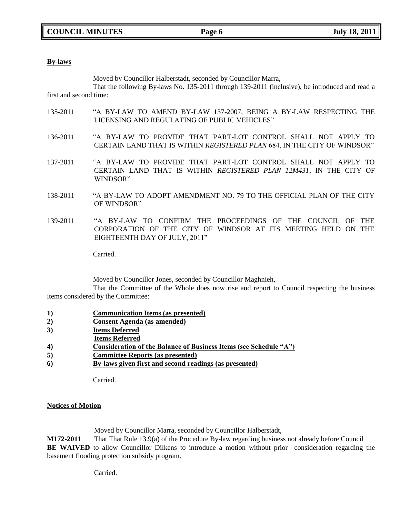### **By-laws**

Moved by Councillor Halberstadt, seconded by Councillor Marra,

That the following By-laws No. 135-2011 through 139-2011 (inclusive), be introduced and read a first and second time:

- 135-2011 "A BY-LAW TO AMEND BY-LAW 137-2007, BEING A BY-LAW RESPECTING THE LICENSING AND REGULATING OF PUBLIC VEHICLES"
- 136-2011 "A BY-LAW TO PROVIDE THAT PART-LOT CONTROL SHALL NOT APPLY TO CERTAIN LAND THAT IS WITHIN *REGISTERED PLAN* 684, IN THE CITY OF WINDSOR"
- 137-2011 "A BY-LAW TO PROVIDE THAT PART-LOT CONTROL SHALL NOT APPLY TO CERTAIN LAND THAT IS WITHIN *REGISTERED PLAN 12M431*, IN THE CITY OF WINDSOR"
- 138-2011 "A BY-LAW TO ADOPT AMENDMENT NO. 79 TO THE OFFICIAL PLAN OF THE CITY OF WINDSOR"
- 139-2011 "A BY-LAW TO CONFIRM THE PROCEEDINGS OF THE COUNCIL OF THE CORPORATION OF THE CITY OF WINDSOR AT ITS MEETING HELD ON THE EIGHTEENTH DAY OF JULY, 2011"

Carried.

Moved by Councillor Jones, seconded by Councillor Maghnieh,

That the Committee of the Whole does now rise and report to Council respecting the business items considered by the Committee:

- **1) Communication Items (as presented)**
- **2) Consent Agenda (as amended)**
- **3) Items Deferred**
- **Items Referred**
- **4) Consideration of the Balance of Business Items (see Schedule "A")**
- **5) Committee Reports (as presented)**
- **6) By-laws given first and second readings (as presented)**

Carried.

## **Notices of Motion**

Moved by Councillor Marra, seconded by Councillor Halberstadt,

**M172-2011** That That Rule 13.9(a) of the Procedure By-law regarding business not already before Council **BE WAIVED** to allow Councillor Dilkens to introduce a motion without prior consideration regarding the basement flooding protection subsidy program.

Carried.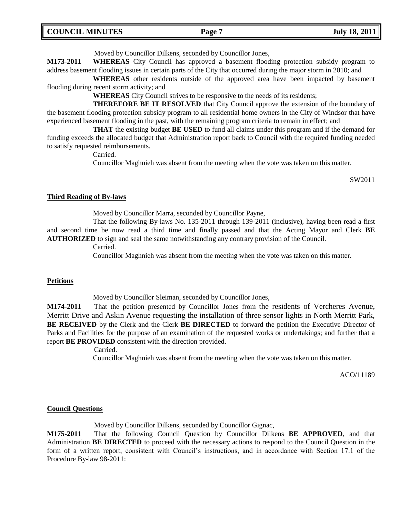| <b>COUNCIL MINUTES</b> | <b>Page</b> | <b>July 18, 2011</b> |
|------------------------|-------------|----------------------|
|------------------------|-------------|----------------------|

Moved by Councillor Dilkens, seconded by Councillor Jones,

**M173-2011 WHEREAS** City Council has approved a basement flooding protection subsidy program to address basement flooding issues in certain parts of the City that occurred during the major storm in 2010; and

**WHEREAS** other residents outside of the approved area have been impacted by basement flooding during recent storm activity; and

**WHEREAS** City Council strives to be responsive to the needs of its residents;

**THEREFORE BE IT RESOLVED** that City Council approve the extension of the boundary of the basement flooding protection subsidy program to all residential home owners in the City of Windsor that have experienced basement flooding in the past, with the remaining program criteria to remain in effect; and

**THAT** the existing budget **BE USED** to fund all claims under this program and if the demand for funding exceeds the allocated budget that Administration report back to Council with the required funding needed to satisfy requested reimbursements.

Carried.

Councillor Maghnieh was absent from the meeting when the vote was taken on this matter.

SW2011

#### **Third Reading of By-laws**

Moved by Councillor Marra, seconded by Councillor Payne,

That the following By-laws No. 135-2011 through 139-2011 (inclusive), having been read a first and second time be now read a third time and finally passed and that the Acting Mayor and Clerk **BE AUTHORIZED** to sign and seal the same notwithstanding any contrary provision of the Council.

Carried.

Councillor Maghnieh was absent from the meeting when the vote was taken on this matter.

#### **Petitions**

Moved by Councillor Sleiman, seconded by Councillor Jones,

**M174-2011** That the petition presented by Councillor Jones from the residents of Vercheres Avenue, Merritt Drive and Askin Avenue requesting the installation of three sensor lights in North Merritt Park, **BE RECEIVED** by the Clerk and the Clerk **BE DIRECTED** to forward the petition the Executive Director of Parks and Facilities for the purpose of an examination of the requested works or undertakings; and further that a report **BE PROVIDED** consistent with the direction provided.

Carried.

Councillor Maghnieh was absent from the meeting when the vote was taken on this matter.

ACO/11189

#### **Council Questions**

Moved by Councillor Dilkens, seconded by Councillor Gignac,

**M175-2011** That the following Council Question by Councillor Dilkens **BE APPROVED**, and that Administration **BE DIRECTED** to proceed with the necessary actions to respond to the Council Question in the form of a written report, consistent with Council's instructions, and in accordance with Section 17.1 of the Procedure By-law 98-2011: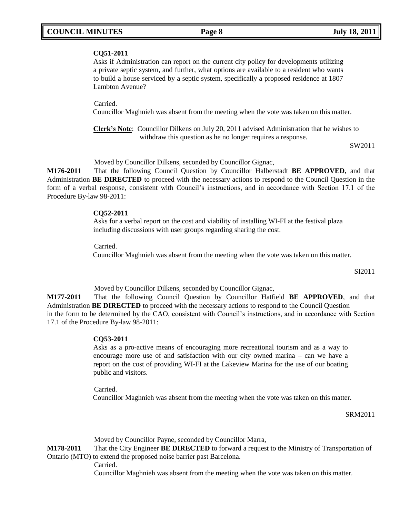## **CQ51-2011**

Asks if Administration can report on the current city policy for developments utilizing a private septic system, and further, what options are available to a resident who wants to build a house serviced by a septic system, specifically a proposed residence at 1807 Lambton Avenue?

Carried.

Councillor Maghnieh was absent from the meeting when the vote was taken on this matter.

**Clerk's Note**: Councillor Dilkens on July 20, 2011 advised Administration that he wishes to withdraw this question as he no longer requires a response.

SW2011

Moved by Councillor Dilkens, seconded by Councillor Gignac,

**M176-2011** That the following Council Question by Councillor Halberstadt **BE APPROVED**, and that Administration **BE DIRECTED** to proceed with the necessary actions to respond to the Council Question in the form of a verbal response, consistent with Council"s instructions, and in accordance with Section 17.1 of the Procedure By-law 98-2011:

### **CQ52-2011**

Asks for a verbal report on the cost and viability of installing WI-FI at the festival plaza including discussions with user groups regarding sharing the cost.

Carried.

Councillor Maghnieh was absent from the meeting when the vote was taken on this matter.

SI2011

Moved by Councillor Dilkens, seconded by Councillor Gignac,

**M177-2011** That the following Council Question by Councillor Hatfield **BE APPROVED**, and that Administration **BE DIRECTED** to proceed with the necessary actions to respond to the Council Question in the form to be determined by the CAO, consistent with Council"s instructions, and in accordance with Section 17.1 of the Procedure By-law 98-2011:

### **CQ53-2011**

Asks as a pro-active means of encouraging more recreational tourism and as a way to encourage more use of and satisfaction with our city owned marina – can we have a report on the cost of providing WI-FI at the Lakeview Marina for the use of our boating public and visitors.

Carried.

Councillor Maghnieh was absent from the meeting when the vote was taken on this matter.

### SRM2011

Moved by Councillor Payne, seconded by Councillor Marra,

**M178-2011** That the City Engineer **BE DIRECTED** to forward a request to the Ministry of Transportation of Ontario (MTO) to extend the proposed noise barrier past Barcelona.

Carried.

Councillor Maghnieh was absent from the meeting when the vote was taken on this matter.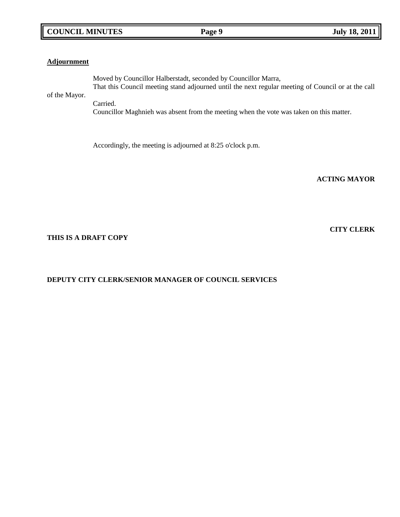# **COUNCIL MINUTES Page 9 July 18, 2011**

## **Adjournment**

Moved by Councillor Halberstadt, seconded by Councillor Marra, That this Council meeting stand adjourned until the next regular meeting of Council or at the call of the Mayor.

Carried.

Councillor Maghnieh was absent from the meeting when the vote was taken on this matter.

Accordingly, the meeting is adjourned at 8:25 o'clock p.m.

**ACTING MAYOR**

# **THIS IS A DRAFT COPY**

# **DEPUTY CITY CLERK/SENIOR MANAGER OF COUNCIL SERVICES**

# **CITY CLERK**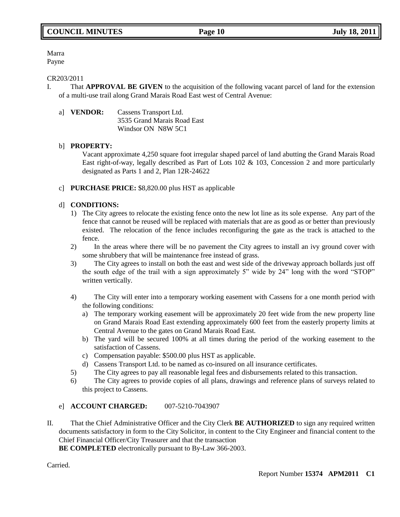Marra Payne

### CR203/2011

I. That **APPROVAL BE GIVEN** to the acquisition of the following vacant parcel of land for the extension of a multi-use trail along Grand Marais Road East west of Central Avenue:

| al <b>VENDOR:</b> | Cassens Transport Ltd.      |  |
|-------------------|-----------------------------|--|
|                   | 3535 Grand Marais Road East |  |
|                   | Windsor ON N8W 5C1          |  |

## b] **PROPERTY:**

Vacant approximate 4,250 square foot irregular shaped parcel of land abutting the Grand Marais Road East right-of-way, legally described as Part of Lots 102 & 103, Concession 2 and more particularly designated as Parts 1 and 2, Plan 12R-24622

c] **PURCHASE PRICE:** \$8,820.00 plus HST as applicable

## d] **CONDITIONS:**

- 1) The City agrees to relocate the existing fence onto the new lot line as its sole expense. Any part of the fence that cannot be reused will be replaced with materials that are as good as or better than previously existed. The relocation of the fence includes reconfiguring the gate as the track is attached to the fence.
- 2) In the areas where there will be no pavement the City agrees to install an ivy ground cover with some shrubbery that will be maintenance free instead of grass.
- 3) The City agrees to install on both the east and west side of the driveway approach bollards just off the south edge of the trail with a sign approximately 5" wide by 24" long with the word "STOP" written vertically.
- 4) The City will enter into a temporary working easement with Cassens for a one month period with the following conditions:
	- a) The temporary working easement will be approximately 20 feet wide from the new property line on Grand Marais Road East extending approximately 600 feet from the easterly property limits at Central Avenue to the gates on Grand Marais Road East.
	- b) The yard will be secured 100% at all times during the period of the working easement to the satisfaction of Cassens.
	- c) Compensation payable: \$500.00 plus HST as applicable.
	- d) Cassens Transport Ltd. to be named as co-insured on all insurance certificates.
- 5) The City agrees to pay all reasonable legal fees and disbursements related to this transaction.
- 6) The City agrees to provide copies of all plans, drawings and reference plans of surveys related to this project to Cassens.

## e] **ACCOUNT CHARGED:** 007-5210-7043907

II. That the Chief Administrative Officer and the City Clerk **BE AUTHORIZED** to sign any required written documents satisfactory in form to the City Solicitor, in content to the City Engineer and financial content to the Chief Financial Officer/City Treasurer and that the transaction

**BE COMPLETED** electronically pursuant to By-Law 366-2003.

Carried.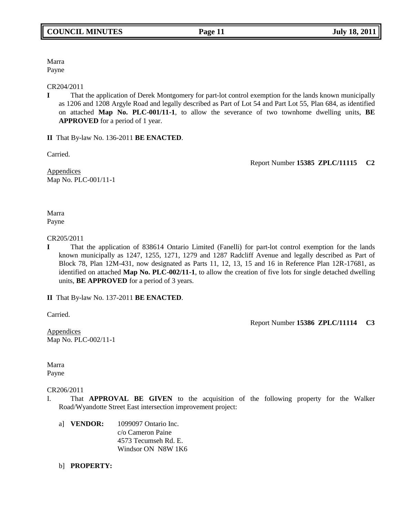Marra Payne

CR204/2011

**I** That the application of Derek Montgomery for part-lot control exemption for the lands known municipally as 1206 and 1208 Argyle Road and legally described as Part of Lot 54 and Part Lot 55, Plan 684, as identified on attached **Map No. PLC-001/11-1**, to allow the severance of two townhome dwelling units, **BE APPROVED** for a period of 1 year.

**II** That By-law No. 136-2011 **BE ENACTED**.

Carried.

Report Number **15385 ZPLC/11115 C2**

**Appendices** Map No. PLC-001/11-1

Marra Payne

CR205/2011

**I** That the application of 838614 Ontario Limited (Fanelli) for part-lot control exemption for the lands known municipally as 1247, 1255, 1271, 1279 and 1287 Radcliff Avenue and legally described as Part of Block 78, Plan 12M-431, now designated as Parts 11, 12, 13, 15 and 16 in Reference Plan 12R-17681, as identified on attached **Map No. PLC-002/11-1**, to allow the creation of five lots for single detached dwelling units, **BE APPROVED** for a period of 3 years.

**II** That By-law No. 137-2011 **BE ENACTED**.

Carried.

Report Number **15386 ZPLC/11114 C3**

**Appendices** Map No. PLC-002/11-1

Marra Payne

CR206/2011

- I. That **APPROVAL BE GIVEN** to the acquisition of the following property for the Walker Road/Wyandotte Street East intersection improvement project:
	- a] **VENDOR:** 1099097 Ontario Inc. c/o Cameron Paine 4573 Tecumseh Rd. E. Windsor ON N8W 1K6
	- b] **PROPERTY:**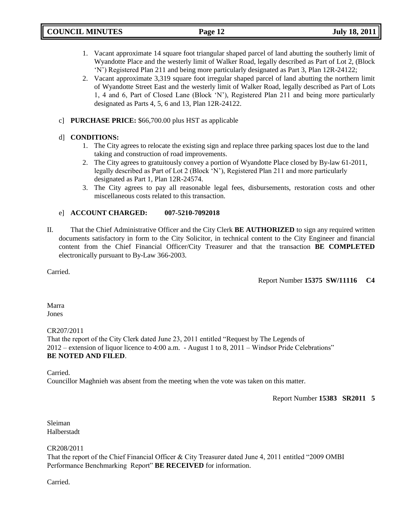- 1. Vacant approximate 14 square foot triangular shaped parcel of land abutting the southerly limit of Wyandotte Place and the westerly limit of Walker Road, legally described as Part of Lot 2, (Block "N") Registered Plan 211 and being more particularly designated as Part 3, Plan 12R-24122;
- 2. Vacant approximate 3,319 square foot irregular shaped parcel of land abutting the northern limit of Wyandotte Street East and the westerly limit of Walker Road, legally described as Part of Lots 1, 4 and 6, Part of Closed Lane (Block "N"), Registered Plan 211 and being more particularly designated as Parts 4, 5, 6 and 13, Plan 12R-24122.
- c] **PURCHASE PRICE:** \$66,700.00 plus HST as applicable

# d] **CONDITIONS:**

- 1. The City agrees to relocate the existing sign and replace three parking spaces lost due to the land taking and construction of road improvements.
- 2. The City agrees to gratuitously convey a portion of Wyandotte Place closed by By-law 61-2011, legally described as Part of Lot 2 (Block "N"), Registered Plan 211 and more particularly designated as Part 1, Plan 12R-24574.
- 3. The City agrees to pay all reasonable legal fees, disbursements, restoration costs and other miscellaneous costs related to this transaction.

# e] **ACCOUNT CHARGED: 007-5210-7092018**

II. That the Chief Administrative Officer and the City Clerk **BE AUTHORIZED** to sign any required written documents satisfactory in form to the City Solicitor, in technical content to the City Engineer and financial content from the Chief Financial Officer/City Treasurer and that the transaction **BE COMPLETED**  electronically pursuant to By-Law 366-2003.

Carried.

Report Number **15375 SW/11116 C4**

Marra Jones

## CR207/2011

That the report of the City Clerk dated June 23, 2011 entitled "Request by The Legends of 2012 – extension of liquor licence to 4:00 a.m. - August 1 to 8, 2011 – Windsor Pride Celebrations" **BE NOTED AND FILED**.

**Carried** 

Councillor Maghnieh was absent from the meeting when the vote was taken on this matter.

Report Number **15383 SR2011 5**

Sleiman Halberstadt

CR208/2011

That the report of the Chief Financial Officer & City Treasurer dated June 4, 2011 entitled "2009 OMBI Performance Benchmarking Report" **BE RECEIVED** for information.

Carried.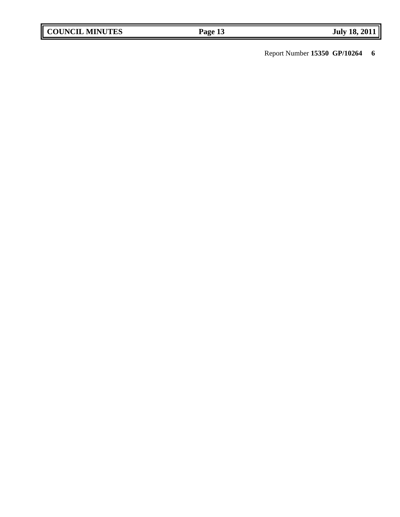Report Number **15350 GP/10264 6**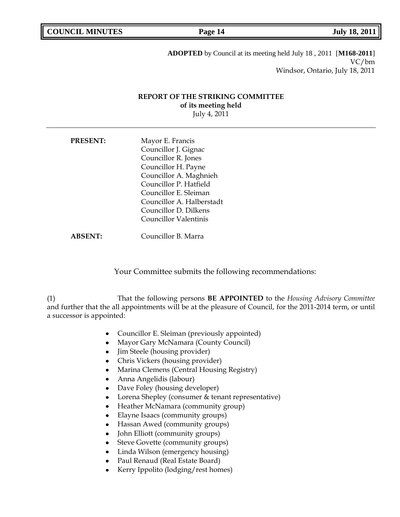**ADOPTED** by Council at its meeting held July 18 , 2011 [**M168-2011**] VC/bm Windsor, Ontario, July 18, 2011

## **REPORT OF THE STRIKING COMMITTEE of its meeting held** July 4, 2011

**PRESENT:** Mayor E. Francis Councillor J. Gignac Councillor R. Jones Councillor H. Payne Councillor A. Maghnieh Councillor P. Hatfield Councillor E. Sleiman Councillor A. Halberstadt Councillor D. Dilkens Councillor Valentinis

**ABSENT:** Councillor B. Marra

Your Committee submits the following recommendations:

(1) That the following persons **BE APPOINTED** to the *Housing Advisory Committee* and further that the all appointments will be at the pleasure of Council, for the 2011-2014 term, or until a successor is appointed:

- Councillor E. Sleiman (previously appointed)  $\bullet$
- $\bullet$ Mayor Gary McNamara (County Council)
- Jim Steele (housing provider)  $\bullet$
- Chris Vickers (housing provider)  $\bullet$
- Marina Clemens (Central Housing Registry)  $\bullet$
- Anna Angelidis (labour)
- Dave Foley (housing developer)  $\bullet$
- Lorena Shepley (consumer & tenant representative)  $\bullet$
- Heather McNamara (community group)  $\bullet$
- Elayne Isaacs (community groups)  $\bullet$
- Hassan Awed (community groups)  $\bullet$
- John Elliott (community groups)  $\bullet$
- Steve Govette (community groups)
- Linda Wilson (emergency housing)  $\bullet$
- Paul Renaud (Real Estate Board)
- Kerry Ippolito (lodging/rest homes)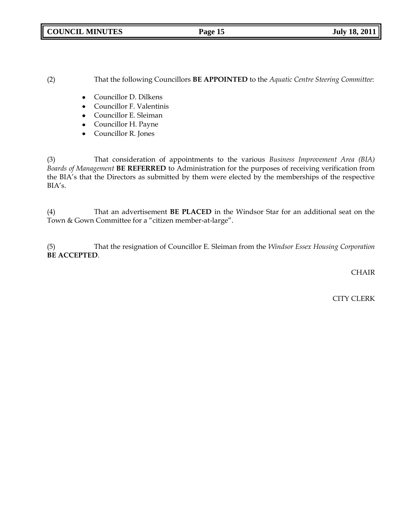**COUNCIL MINUTES Page 15 July 18, 2011**

(2) That the following Councillors **BE APPOINTED** to the *Aquatic Centre Steering Committee*:

- Councillor D. Dilkens  $\bullet$
- Councillor F. Valentinis
- Councillor E. Sleiman
- Councillor H. Payne  $\bullet$
- Councillor R. Jones  $\bullet$

(3) That consideration of appointments to the various *Business Improvement Area (BIA) Boards of Management* **BE REFERRED** to Administration for the purposes of receiving verification from the BIA's that the Directors as submitted by them were elected by the memberships of the respective BIA's.

(4) That an advertisement **BE PLACED** in the Windsor Star for an additional seat on the Town & Gown Committee for a "citizen member-at-large".

(5) That the resignation of Councillor E. Sleiman from the *Windsor Essex Housing Corporation*  **BE ACCEPTED**.

**CHAIR** 

CITY CLERK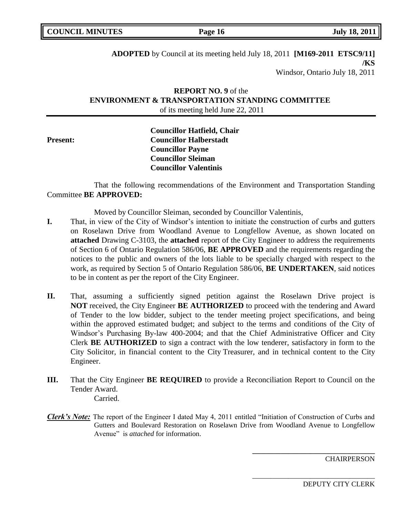**Page 16 July 18, 2011** 

**ADOPTED** by Council at its meeting held July 18, 2011 **[M169-2011 ETSC9/11] /KS** Windsor, Ontario July 18, 2011

# **REPORT NO. 9** of the **ENVIRONMENT & TRANSPORTATION STANDING COMMITTEE** of its meeting held June 22, 2011

**Councillor Hatfield, Chair Present: Councillor Halberstadt Councillor Payne Councillor Sleiman Councillor Valentinis**

That the following recommendations of the Environment and Transportation Standing Committee **BE APPROVED:** 

Moved by Councillor Sleiman, seconded by Councillor Valentinis,

- **I.** That, in view of the City of Windsor's intention to initiate the construction of curbs and gutters on Roselawn Drive from Woodland Avenue to Longfellow Avenue, as shown located on **attached** Drawing C-3103, the **attached** report of the City Engineer to address the requirements of Section 6 of Ontario Regulation 586/06, **BE APPROVED** and the requirements regarding the notices to the public and owners of the lots liable to be specially charged with respect to the work, as required by Section 5 of Ontario Regulation 586/06, **BE UNDERTAKEN**, said notices to be in content as per the report of the City Engineer.
- **II.** That, assuming a sufficiently signed petition against the Roselawn Drive project is **NOT** received, the City Engineer **BE AUTHORIZED** to proceed with the tendering and Award of Tender to the low bidder, subject to the tender meeting project specifications, and being within the approved estimated budget; and subject to the terms and conditions of the City of Windsor"s Purchasing By-law 400-2004; and that the Chief Administrative Officer and City Clerk **BE AUTHORIZED** to sign a contract with the low tenderer, satisfactory in form to the City Solicitor, in financial content to the City Treasurer, and in technical content to the City Engineer.
- **III.** That the City Engineer **BE REQUIRED** to provide a Reconciliation Report to Council on the Tender Award. Carried.
- *Clerk's Note:* The report of the Engineer I dated May 4, 2011 entitled "Initiation of Construction of Curbs and Gutters and Boulevard Restoration on Roselawn Drive from Woodland Avenue to Longfellow Avenue" is *attached* for information.

**CHAIRPERSON** 

DEPUTY CITY CLERK

**\_\_\_\_\_\_\_\_\_\_\_\_\_\_\_\_\_\_\_\_\_\_\_\_\_\_\_\_\_\_\_\_\_\_**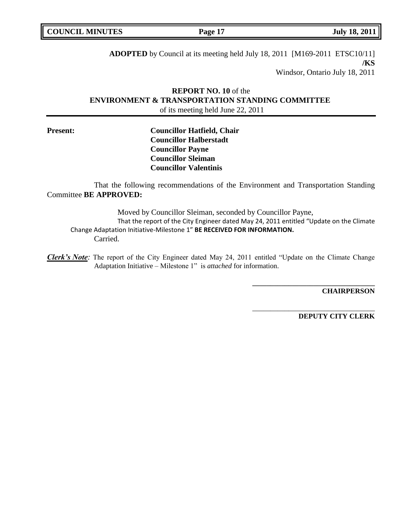**Page 17 July 18, 2011** 

**ADOPTED** by Council at its meeting held July 18, 2011[M169-2011 ETSC10/11] **/KS** Windsor, Ontario July 18, 2011

# **REPORT NO. 10** of the **ENVIRONMENT & TRANSPORTATION STANDING COMMITTEE** of its meeting held June 22, 2011

**Present: Councillor Hatfield, Chair Councillor Halberstadt Councillor Payne Councillor Sleiman Councillor Valentinis**

That the following recommendations of the Environment and Transportation Standing Committee **BE APPROVED:** 

Moved by Councillor Sleiman, seconded by Councillor Payne, That the report of the City Engineer dated May 24, 2011 entitled "Update on the Climate Change Adaptation Initiative-Milestone 1" **BE RECEIVED FOR INFORMATION.** Carried.

*Clerk's Note:* The report of the City Engineer dated May 24, 2011 entitled "Update on the Climate Change Adaptation Initiative – Milestone 1" is *attached* for information.

**CHAIRPERSON**

**DEPUTY CITY CLERK**

**\_\_\_\_\_\_\_\_\_\_\_\_\_\_\_\_\_\_\_\_\_\_\_\_\_\_\_\_\_\_\_\_\_\_**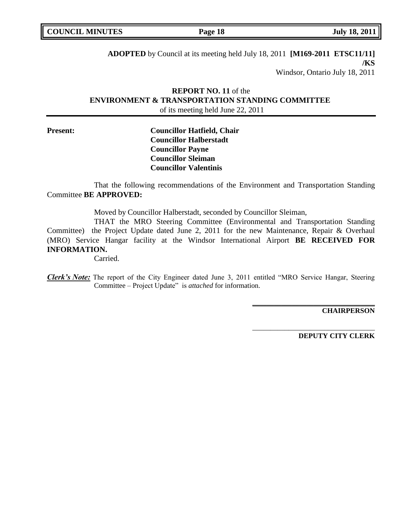| <b>COUNCIL MINUTES</b> |  |
|------------------------|--|
|------------------------|--|

**Page 18 July 18, 2011** 

**ADOPTED** by Council at its meeting held July 18, 2011 **[M169-2011 ETSC11/11] /KS** Windsor, Ontario July 18, 2011

# **REPORT NO. 11** of the **ENVIRONMENT & TRANSPORTATION STANDING COMMITTEE** of its meeting held June 22, 2011

# **Present: Councillor Hatfield, Chair Councillor Halberstadt Councillor Payne Councillor Sleiman Councillor Valentinis**

That the following recommendations of the Environment and Transportation Standing Committee **BE APPROVED:** 

Moved by Councillor Halberstadt, seconded by Councillor Sleiman,

THAT the MRO Steering Committee (Environmental and Transportation Standing Committee) the Project Update dated June 2, 2011 for the new Maintenance, Repair & Overhaul (MRO) Service Hangar facility at the Windsor International Airport **BE RECEIVED FOR INFORMATION.**

Carried.

*Clerk's Note:* The report of the City Engineer dated June 3, 2011 entitled "MRO Service Hangar, Steering Committee – Project Update" is *attached* for information.

**CHAIRPERSON**

**DEPUTY CITY CLERK**

**\_\_\_\_\_\_\_\_\_\_\_\_\_\_\_\_\_\_\_\_\_\_\_\_\_\_\_\_\_\_\_\_\_\_**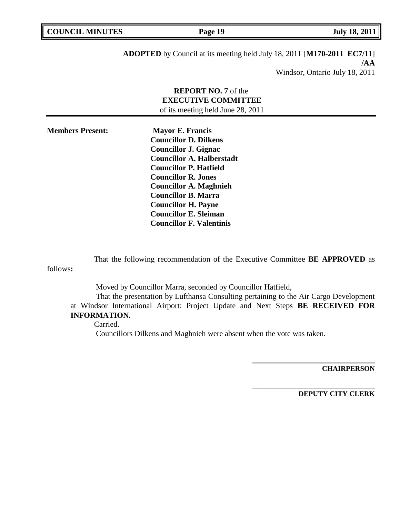| <b>COUNCIL MINUTES</b> | Page 19 | <b>July 18, 2011</b> |
|------------------------|---------|----------------------|
|                        |         |                      |

**ADOPTED** by Council at its meeting held July 18, 2011 [**M170-2011 EC7/11**] **/AA** Windsor, Ontario July 18, 2011

# **REPORT NO. 7** of the **EXECUTIVE COMMITTEE** of its meeting held June 28, 2011

**Members Present: Mayor E. Francis Councillor D. Dilkens Councillor J. Gignac Councillor A. Halberstadt Councillor P. Hatfield Councillor R. Jones Councillor A. Maghnieh Councillor B. Marra Councillor H. Payne Councillor E. Sleiman Councillor F. Valentinis**

That the following recommendation of the Executive Committee **BE APPROVED** as

follows**:** 

Moved by Councillor Marra, seconded by Councillor Hatfield,

That the presentation by Lufthansa Consulting pertaining to the Air Cargo Development at Windsor International Airport: Project Update and Next Steps **BE RECEIVED FOR INFORMATION.**

Carried.

Councillors Dilkens and Maghnieh were absent when the vote was taken.

**CHAIRPERSON**

**DEPUTY CITY CLERK**

**\_\_\_\_\_\_\_\_\_\_\_\_\_\_\_\_\_\_\_\_\_\_\_\_\_\_\_\_\_\_\_\_\_\_**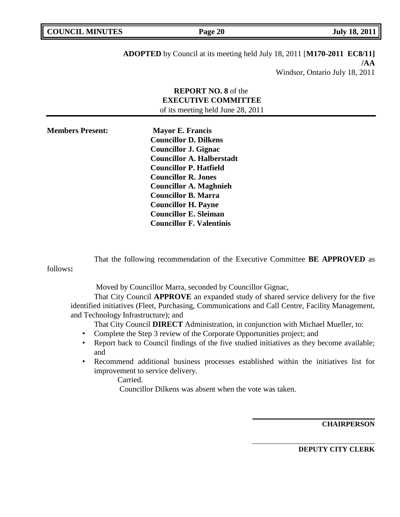| <b>COUNCIL MINUTES</b> | Page 20 | <b>July 18, 2011</b> |
|------------------------|---------|----------------------|
|                        |         |                      |

**ADOPTED** by Council at its meeting held July 18, 2011 [**M170-2011 EC8/11] /AA** Windsor, Ontario July 18, 2011

# **REPORT NO. 8** of the **EXECUTIVE COMMITTEE** of its meeting held June 28, 2011

**Members Present: Mayor E. Francis Councillor D. Dilkens Councillor J. Gignac Councillor A. Halberstadt Councillor P. Hatfield Councillor R. Jones Councillor A. Maghnieh Councillor B. Marra Councillor H. Payne Councillor E. Sleiman Councillor F. Valentinis**

That the following recommendation of the Executive Committee **BE APPROVED** as

follows**:** 

Moved by Councillor Marra, seconded by Councillor Gignac,

That City Council **APPROVE** an expanded study of shared service delivery for the five identified initiatives (Fleet, Purchasing, Communications and Call Centre, Facility Management, and Technology Infrastructure); and

That City Council **DIRECT** Administration, in conjunction with Michael Mueller, to:

- Complete the Step 3 review of the Corporate Opportunities project; and
- Report back to Council findings of the five studied initiatives as they become available; and
- Recommend additional business processes established within the initiatives list for improvement to service delivery.

Carried.

Councillor Dilkens was absent when the vote was taken.

**CHAIRPERSON**

**DEPUTY CITY CLERK**

**\_\_\_\_\_\_\_\_\_\_\_\_\_\_\_\_\_\_\_\_\_\_\_\_\_\_\_\_\_\_\_\_\_\_**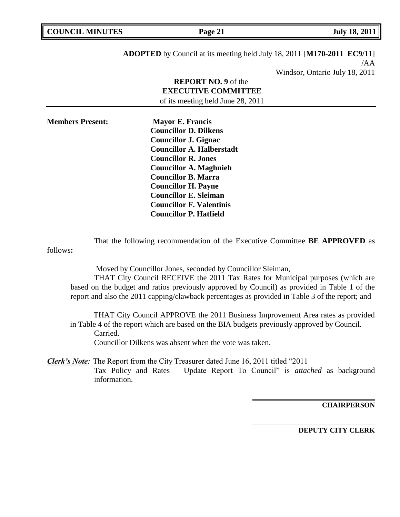| <b>COUNCIL MINUTES</b> | Page 21 | <b>July 18, 2011</b> |
|------------------------|---------|----------------------|
|                        |         |                      |

**ADOPTED** by Council at its meeting held July 18, 2011 [**M170-2011 EC9/11**] /AA Windsor, Ontario July 18, 2011

# **REPORT NO. 9** of the **EXECUTIVE COMMITTEE** of its meeting held June 28, 2011

**Members Present: Mayor E. Francis Councillor D. Dilkens Councillor J. Gignac Councillor A. Halberstadt Councillor R. Jones Councillor A. Maghnieh Councillor B. Marra Councillor H. Payne Councillor E. Sleiman Councillor F. Valentinis Councillor P. Hatfield**

That the following recommendation of the Executive Committee **BE APPROVED** as

follows**:** 

Moved by Councillor Jones, seconded by Councillor Sleiman,

THAT City Council RECEIVE the 2011 Tax Rates for Municipal purposes (which are based on the budget and ratios previously approved by Council) as provided in Table 1 of the report and also the 2011 capping/clawback percentages as provided in Table 3 of the report; and

THAT City Council APPROVE the 2011 Business Improvement Area rates as provided in Table 4 of the report which are based on the BIA budgets previously approved by Council. Carried.

Councillor Dilkens was absent when the vote was taken.

*Clerk's Note*: The Report from the City Treasurer dated June 16, 2011 titled "2011" Tax Policy and Rates – Update Report To Council" is *attached* as background information.

**CHAIRPERSON**

**DEPUTY CITY CLERK**

**\_\_\_\_\_\_\_\_\_\_\_\_\_\_\_\_\_\_\_\_\_\_\_\_\_\_\_\_\_\_\_\_\_\_**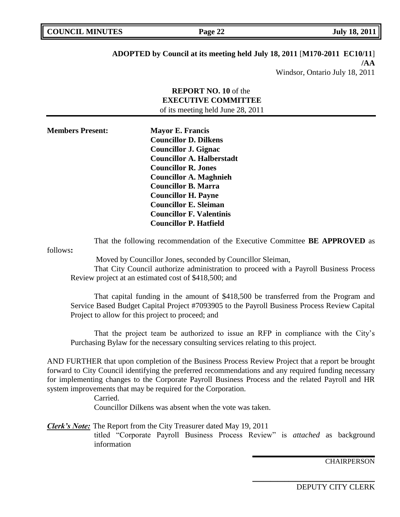| <b>COUNCIL MINUTES</b> | Page 22 | <b>July 18, 2011</b> |
|------------------------|---------|----------------------|
|                        |         |                      |

## **ADOPTED by Council at its meeting held July 18, 2011** [**M170-2011 EC10/11**] **/AA**

Windsor, Ontario July 18, 2011

| <b>REPORT NO. 10</b> of the       |
|-----------------------------------|
| <b>EXECUTIVE COMMITTEE</b>        |
| of its meeting held June 28, 2011 |

**Members Present: Mayor E. Francis Councillor D. Dilkens Councillor J. Gignac Councillor A. Halberstadt Councillor R. Jones Councillor A. Maghnieh Councillor B. Marra Councillor H. Payne Councillor E. Sleiman Councillor F. Valentinis Councillor P. Hatfield**

That the following recommendation of the Executive Committee **BE APPROVED** as

follows**:** 

Moved by Councillor Jones, seconded by Councillor Sleiman,

That City Council authorize administration to proceed with a Payroll Business Process Review project at an estimated cost of \$418,500; and

That capital funding in the amount of \$418,500 be transferred from the Program and Service Based Budget Capital Project #7093905 to the Payroll Business Process Review Capital Project to allow for this project to proceed; and

That the project team be authorized to issue an RFP in compliance with the City"s Purchasing Bylaw for the necessary consulting services relating to this project.

AND FURTHER that upon completion of the Business Process Review Project that a report be brought forward to City Council identifying the preferred recommendations and any required funding necessary for implementing changes to the Corporate Payroll Business Process and the related Payroll and HR system improvements that may be required for the Corporation.

Carried.

Councillor Dilkens was absent when the vote was taken.

*Clerk's Note:* The Report from the City Treasurer dated May 19, 2011

titled "Corporate Payroll Business Process Review" is *attached* as background information

**CHAIRPERSON** 

DEPUTY CITY CLERK

**\_\_\_\_\_\_\_\_\_\_\_\_\_\_\_\_\_\_\_\_\_\_\_\_\_\_\_\_\_\_\_\_\_\_**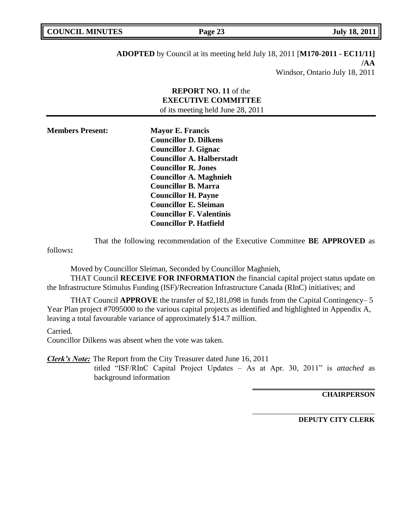| <b>COUNCIL MINUTES</b> |  |
|------------------------|--|
|                        |  |

**ADOPTED** by Council at its meeting held July 18, 2011 [**M170-2011 - EC11/11] /AA** Windsor, Ontario July 18, 2011

# **REPORT NO. 11** of the **EXECUTIVE COMMITTEE** of its meeting held June 28, 2011

| <b>Members Present:</b> | <b>Mayor E. Francis</b>          |
|-------------------------|----------------------------------|
|                         | <b>Councillor D. Dilkens</b>     |
|                         | <b>Councillor J. Gignac</b>      |
|                         | <b>Councillor A. Halberstadt</b> |
|                         | <b>Councillor R. Jones</b>       |
|                         | <b>Councillor A. Maghnieh</b>    |
|                         | <b>Councillor B. Marra</b>       |
|                         | <b>Councillor H. Payne</b>       |
|                         | <b>Councillor E. Sleiman</b>     |
|                         | <b>Councillor F. Valentinis</b>  |
|                         | <b>Councillor P. Hatfield</b>    |
|                         |                                  |

That the following recommendation of the Executive Committee **BE APPROVED** as

follows**:** 

Moved by Councillor Sleiman, Seconded by Councillor Maghnieh,

THAT Council **RECEIVE FOR INFORMATION** the financial capital project status update on the Infrastructure Stimulus Funding (ISF)/Recreation Infrastructure Canada (RInC) initiatives; and

THAT Council **APPROVE** the transfer of \$2,181,098 in funds from the Capital Contingency– 5 Year Plan project #7095000 to the various capital projects as identified and highlighted in Appendix A, leaving a total favourable variance of approximately \$14.7 million.

# Carried.

Councillor Dilkens was absent when the vote was taken.

*Clerk's Note:* The Report from the City Treasurer dated June 16, 2011

titled "ISF/RInC Capital Project Updates – As at Apr. 30, 2011" is *attached* as background information

**CHAIRPERSON**

**DEPUTY CITY CLERK**

**\_\_\_\_\_\_\_\_\_\_\_\_\_\_\_\_\_\_\_\_\_\_\_\_\_\_\_\_\_\_\_\_\_\_**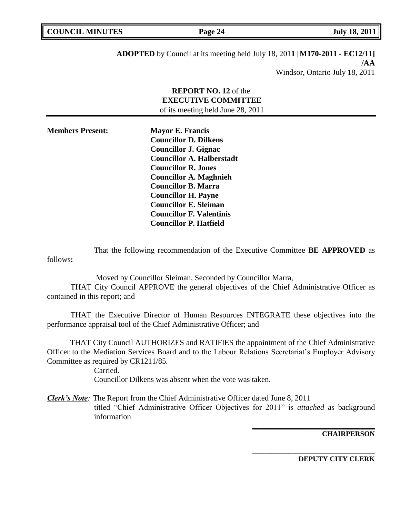| <b>COUNCIL MINUTES</b><br>Page 24 | <b>July 18, 2011</b> |
|-----------------------------------|----------------------|

**ADOPTED** by Council at its meeting held July 18, 201**1** [**M170-2011 - EC12/11] /AA** Windsor, Ontario July 18, 2011

# **REPORT NO. 12** of the **EXECUTIVE COMMITTEE** of its meeting held June 28, 2011

| <b>Members Present:</b> | <b>Mayor E. Francis</b>          |
|-------------------------|----------------------------------|
|                         | <b>Councillor D. Dilkens</b>     |
|                         | <b>Councillor J. Gignac</b>      |
|                         | <b>Councillor A. Halberstadt</b> |
|                         | <b>Councillor R. Jones</b>       |
|                         | <b>Councillor A. Maghnieh</b>    |
|                         | <b>Councillor B. Marra</b>       |
|                         | <b>Councillor H. Payne</b>       |
|                         | <b>Councillor E. Sleiman</b>     |
|                         | <b>Councillor F. Valentinis</b>  |
|                         | <b>Councillor P. Hatfield</b>    |

That the following recommendation of the Executive Committee **BE APPROVED** as follows**:** 

 Moved by Councillor Sleiman, Seconded by Councillor Marra, THAT City Council APPROVE the general objectives of the Chief Administrative Officer as contained in this report; and

THAT the Executive Director of Human Resources INTEGRATE these objectives into the performance appraisal tool of the Chief Administrative Officer; and

THAT City Council AUTHORIZES and RATIFIES the appointment of the Chief Administrative Officer to the Mediation Services Board and to the Labour Relations Secretariat's Employer Advisory Committee as required by CR1211/85*.*

> Carried. Councillor Dilkens was absent when the vote was taken.

*Clerk's Note:* The Report from the Chief Administrative Officer dated June 8, 2011 titled "Chief Administrative Officer Objectives for 2011" is *attached* as background information

**CHAIRPERSON**

**DEPUTY CITY CLERK**

**\_\_\_\_\_\_\_\_\_\_\_\_\_\_\_\_\_\_\_\_\_\_\_\_\_\_\_\_\_\_\_\_\_\_**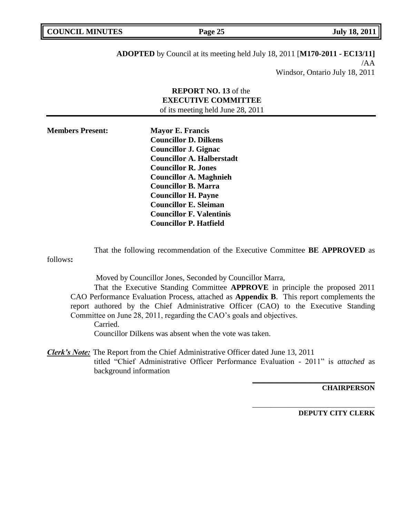| <b>COUNCIL MINUTES</b> | Page 25 | <b>July 18, 2011</b> |
|------------------------|---------|----------------------|
|                        |         |                      |

**ADOPTED** by Council at its meeting held July 18, 2011 [**M170-2011 - EC13/11]** /AA Windsor, Ontario July 18, 2011

# **REPORT NO. 13** of the **EXECUTIVE COMMITTEE** of its meeting held June 28, 2011

| <b>Members Present:</b> | <b>Mayor E. Francis</b>          |
|-------------------------|----------------------------------|
|                         | <b>Councillor D. Dilkens</b>     |
|                         | <b>Councillor J. Gignac</b>      |
|                         | <b>Councillor A. Halberstadt</b> |
|                         | <b>Councillor R. Jones</b>       |
|                         | <b>Councillor A. Maghnieh</b>    |
|                         | <b>Councillor B. Marra</b>       |
|                         | <b>Councillor H. Payne</b>       |
|                         | <b>Councillor E. Sleiman</b>     |
|                         | <b>Councillor F. Valentinis</b>  |
|                         | <b>Councillor P. Hatfield</b>    |

That the following recommendation of the Executive Committee **BE APPROVED** as follows**:** 

Moved by Councillor Jones, Seconded by Councillor Marra,

That the Executive Standing Committee **APPROVE** in principle the proposed 2011 CAO Performance Evaluation Process, attached as **Appendix B**. This report complements the report authored by the Chief Administrative Officer (CAO) to the Executive Standing Committee on June 28, 2011, regarding the CAO"s goals and objectives. Carried.

Councillor Dilkens was absent when the vote was taken.

*Clerk's Note:* The Report from the Chief Administrative Officer dated June 13, 2011 titled "Chief Administrative Officer Performance Evaluation - 2011" is *attached* as background information

**CHAIRPERSON**

**DEPUTY CITY CLERK**

**\_\_\_\_\_\_\_\_\_\_\_\_\_\_\_\_\_\_\_\_\_\_\_\_\_\_\_\_\_\_\_\_\_\_**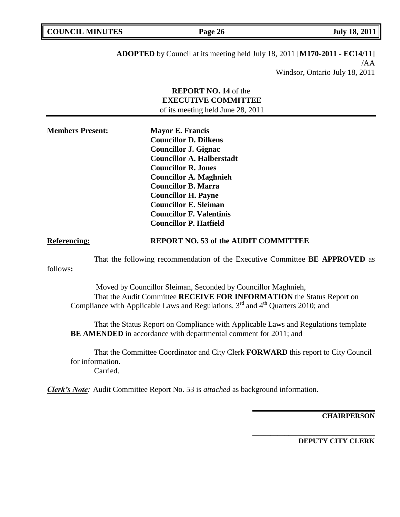| <b>COUNCIL MINUTES</b> | Page 26 | <b>July 18, 2011</b> |
|------------------------|---------|----------------------|
|                        |         |                      |

**ADOPTED** by Council at its meeting held July 18, 2011 [**M170-2011 - EC14/11**] /AA Windsor, Ontario July 18, 2011

|                              | <b>REPORT NO. 14 of the</b><br><b>EXECUTIVE COMMITTEE</b><br>of its meeting held June 28, 2011                                                                                                                                                                                                                                                                                                                     |
|------------------------------|--------------------------------------------------------------------------------------------------------------------------------------------------------------------------------------------------------------------------------------------------------------------------------------------------------------------------------------------------------------------------------------------------------------------|
| <b>Members Present:</b>      | <b>Mayor E. Francis</b><br><b>Councillor D. Dilkens</b><br><b>Councillor J. Gignac</b><br><b>Councillor A. Halberstadt</b><br><b>Councillor R. Jones</b><br><b>Councillor A. Maghnieh</b><br><b>Councillor B. Marra</b><br><b>Councillor H. Payne</b><br><b>Councillor E. Sleiman</b><br><b>Councillor F. Valentinis</b><br><b>Councillor P. Hatfield</b>                                                          |
| <b>Referencing:</b>          | <b>REPORT NO. 53 of the AUDIT COMMITTEE</b>                                                                                                                                                                                                                                                                                                                                                                        |
| follows:                     | That the following recommendation of the Executive Committee <b>BE APPROVED</b> as                                                                                                                                                                                                                                                                                                                                 |
|                              | Moved by Councillor Sleiman, Seconded by Councillor Maghnieh,<br>That the Audit Committee RECEIVE FOR INFORMATION the Status Report on<br>Compliance with Applicable Laws and Regulations, 3 <sup>rd</sup> and 4 <sup>th</sup> Quarters 2010; and<br>That the Status Report on Compliance with Applicable Laws and Regulations template<br><b>BE AMENDED</b> in accordance with departmental comment for 2011; and |
| for information.<br>Carried. | That the Committee Coordinator and City Clerk FORWARD this report to City Council                                                                                                                                                                                                                                                                                                                                  |
|                              | <b>Clerk's Note:</b> Audit Committee Report No. 53 is <i>attached</i> as background information.                                                                                                                                                                                                                                                                                                                   |
|                              | <b>CHAIRPERSON</b>                                                                                                                                                                                                                                                                                                                                                                                                 |

**DEPUTY CITY CLERK**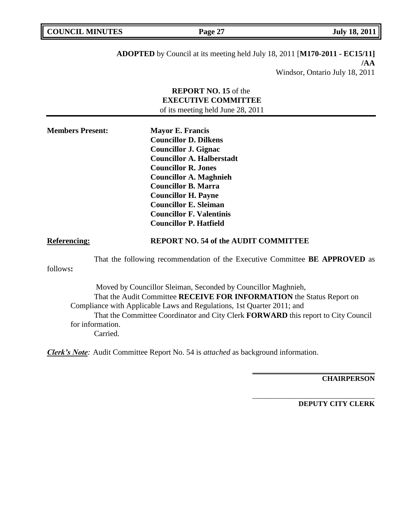| <b>COUNCIL MINUTES</b> | Page 27 | <b>July 18, 2011</b> |
|------------------------|---------|----------------------|
|                        |         |                      |
|                        |         |                      |

**ADOPTED** by Council at its meeting held July 18, 2011 [**M170-2011 - EC15/11] /AA** Windsor, Ontario July 18, 2011

|                              | <b>REPORT NO. 15 of the</b><br><b>EXECUTIVE COMMITTEE</b><br>of its meeting held June 28, 2011                                                                                                                                                                                                                                                            |
|------------------------------|-----------------------------------------------------------------------------------------------------------------------------------------------------------------------------------------------------------------------------------------------------------------------------------------------------------------------------------------------------------|
| <b>Members Present:</b>      | <b>Mayor E. Francis</b><br><b>Councillor D. Dilkens</b><br><b>Councillor J. Gignac</b><br><b>Councillor A. Halberstadt</b><br><b>Councillor R. Jones</b><br><b>Councillor A. Maghnieh</b><br><b>Councillor B. Marra</b><br><b>Councillor H. Payne</b><br><b>Councillor E. Sleiman</b><br><b>Councillor F. Valentinis</b><br><b>Councillor P. Hatfield</b> |
| <b>Referencing:</b>          | <b>REPORT NO. 54 of the AUDIT COMMITTEE</b>                                                                                                                                                                                                                                                                                                               |
| follows:                     | That the following recommendation of the Executive Committee <b>BE APPROVED</b> as                                                                                                                                                                                                                                                                        |
| for information.<br>Carried. | Moved by Councillor Sleiman, Seconded by Councillor Maghnieh,<br>That the Audit Committee RECEIVE FOR INFORMATION the Status Report on<br>Compliance with Applicable Laws and Regulations, 1st Quarter 2011; and<br>That the Committee Coordinator and City Clerk FORWARD this report to City Council                                                     |
|                              | <b>Clerk's Note:</b> Audit Committee Report No. 54 is <i>attached</i> as background information.                                                                                                                                                                                                                                                          |

**CHAIRPERSON**

**DEPUTY CITY CLERK**

**\_\_\_\_\_\_\_\_\_\_\_\_\_\_\_\_\_\_\_\_\_\_\_\_\_\_\_\_\_\_\_\_\_\_**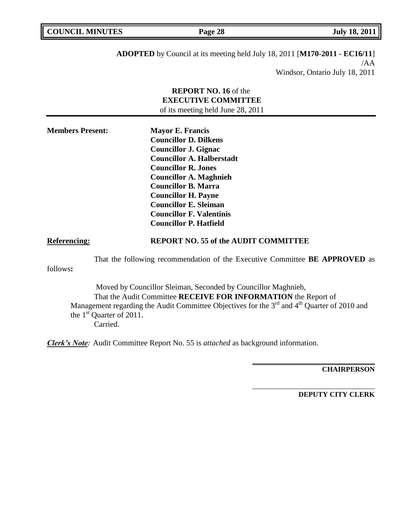| <b>COUNCIL MINUTES</b> | Page 28 | <b>July 18, 2011</b> |
|------------------------|---------|----------------------|
|                        |         |                      |

**ADOPTED** by Council at its meeting held July 18, 2011 [**M170-2011 - EC16/11**] /AA Windsor, Ontario July 18, 2011

|                         | <b>REPORT NO. 16 of the</b><br><b>EXECUTIVE COMMITTEE</b><br>of its meeting held June 28, 2011                                                                                                                                                                                                                                                            |
|-------------------------|-----------------------------------------------------------------------------------------------------------------------------------------------------------------------------------------------------------------------------------------------------------------------------------------------------------------------------------------------------------|
| <b>Members Present:</b> | <b>Mayor E. Francis</b><br><b>Councillor D. Dilkens</b><br><b>Councillor J. Gignac</b><br><b>Councillor A. Halberstadt</b><br><b>Councillor R. Jones</b><br><b>Councillor A. Maghnieh</b><br><b>Councillor B. Marra</b><br><b>Councillor H. Payne</b><br><b>Councillor E. Sleiman</b><br><b>Councillor F. Valentinis</b><br><b>Councillor P. Hatfield</b> |
| <b>Referencing:</b>     | <b>REPORT NO. 55 of the AUDIT COMMITTEE</b>                                                                                                                                                                                                                                                                                                               |
| follows:                | That the following recommendation of the Executive Committee BE APPROVED as                                                                                                                                                                                                                                                                               |
|                         | Moved by Councillor Sleiman, Seconded by Councillor Maghnieh,<br>That the Audit Committee RECEIVE FOR INFORMATION the Report of<br>Management regarding the Audit Committee Objectives for the 3 <sup>rd</sup> and 4 <sup>th</sup> Quarter of 2010 and<br>the $1st$ Quarter of 2011.<br>Carried.                                                          |
|                         | <b>Clerk's Note:</b> Audit Committee Report No. 55 is <i>attached</i> as background information.                                                                                                                                                                                                                                                          |

**CHAIRPERSON**

**DEPUTY CITY CLERK**

**\_\_\_\_\_\_\_\_\_\_\_\_\_\_\_\_\_\_\_\_\_\_\_\_\_\_\_\_\_\_\_\_\_\_**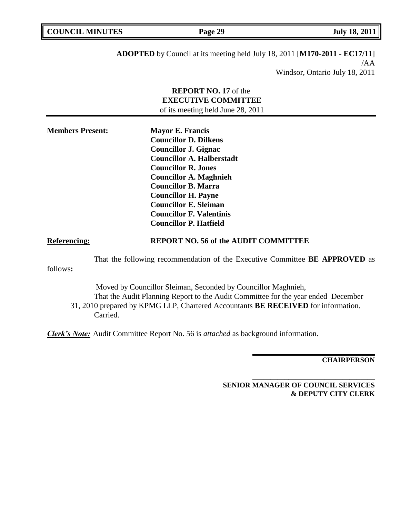| <b>COUNCIL MINUTES</b> | Page 29 | <b>July 18, 2011</b> |
|------------------------|---------|----------------------|
|                        |         |                      |
|                        |         |                      |

**ADOPTED** by Council at its meeting held July 18, 2011 [**M170-2011 - EC17/11**] /AA Windsor, Ontario July 18, 2011

|                                                                                                  | <b>REPORT NO. 17</b> of the<br><b>EXECUTIVE COMMITTEE</b><br>of its meeting held June 28, 2011                                                                                                                                                                                                                                                            |
|--------------------------------------------------------------------------------------------------|-----------------------------------------------------------------------------------------------------------------------------------------------------------------------------------------------------------------------------------------------------------------------------------------------------------------------------------------------------------|
| <b>Members Present:</b>                                                                          | <b>Mayor E. Francis</b><br><b>Councillor D. Dilkens</b><br><b>Councillor J. Gignac</b><br><b>Councillor A. Halberstadt</b><br><b>Councillor R. Jones</b><br><b>Councillor A. Maghnieh</b><br><b>Councillor B. Marra</b><br><b>Councillor H. Payne</b><br><b>Councillor E. Sleiman</b><br><b>Councillor F. Valentinis</b><br><b>Councillor P. Hatfield</b> |
| <b>Referencing:</b>                                                                              | <b>REPORT NO. 56 of the AUDIT COMMITTEE</b>                                                                                                                                                                                                                                                                                                               |
| follows:                                                                                         | That the following recommendation of the Executive Committee BE APPROVED as                                                                                                                                                                                                                                                                               |
| Carried.                                                                                         | Moved by Councillor Sleiman, Seconded by Councillor Maghnieh,<br>That the Audit Planning Report to the Audit Committee for the year ended December<br>31, 2010 prepared by KPMG LLP, Chartered Accountants BE RECEIVED for information.                                                                                                                   |
| <b>Clerk's Note:</b> Audit Committee Report No. 56 is <i>attached</i> as background information. |                                                                                                                                                                                                                                                                                                                                                           |

**CHAIRPERSON**

**SENIOR MANAGER OF COUNCIL SERVICES & DEPUTY CITY CLERK**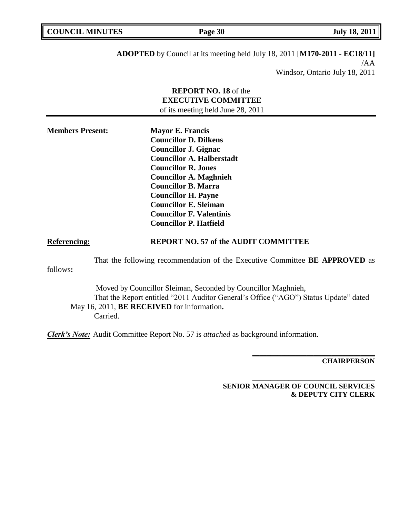| <b>COUNCIL MINUTES</b> | Page 30 | <b>July 18, 2011</b> |
|------------------------|---------|----------------------|
|                        |         |                      |

**ADOPTED** by Council at its meeting held July 18, 2011 [**M170-2011 - EC18/11]** /AA Windsor, Ontario July 18, 2011

|                         | <b>REPORT NO. 18</b> of the<br><b>EXECUTIVE COMMITTEE</b><br>of its meeting held June 28, 2011                                                                                                                                                                                                                                                            |
|-------------------------|-----------------------------------------------------------------------------------------------------------------------------------------------------------------------------------------------------------------------------------------------------------------------------------------------------------------------------------------------------------|
| <b>Members Present:</b> | <b>Mayor E. Francis</b><br><b>Councillor D. Dilkens</b><br><b>Councillor J. Gignac</b><br><b>Councillor A. Halberstadt</b><br><b>Councillor R. Jones</b><br><b>Councillor A. Maghnieh</b><br><b>Councillor B. Marra</b><br><b>Councillor H. Payne</b><br><b>Councillor E. Sleiman</b><br><b>Councillor F. Valentinis</b><br><b>Councillor P. Hatfield</b> |
| <b>Referencing:</b>     | <b>REPORT NO. 57 of the AUDIT COMMITTEE</b>                                                                                                                                                                                                                                                                                                               |
| follows:                | That the following recommendation of the Executive Committee BE APPROVED as                                                                                                                                                                                                                                                                               |
| Carried.                | Moved by Councillor Sleiman, Seconded by Councillor Maghnieh,<br>That the Report entitled "2011 Auditor General's Office ("AGO") Status Update" dated<br>May 16, 2011, BE RECEIVED for information.                                                                                                                                                       |
|                         | <b>Clerk's Note:</b> Audit Committee Report No. 57 is <i>attached</i> as background information.                                                                                                                                                                                                                                                          |

**CHAIRPERSON**

**SENIOR MANAGER OF COUNCIL SERVICES & DEPUTY CITY CLERK**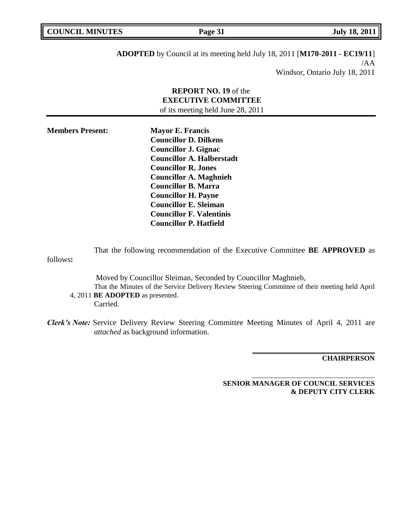| <b>COUNCIL MINUTES</b> | Page 31 | <b>July 18, 2011</b> |
|------------------------|---------|----------------------|
|                        |         |                      |

**ADOPTED** by Council at its meeting held July 18, 2011 [**M170-2011 - EC19/11**] /AA Windsor, Ontario July 18, 2011

# **REPORT NO. 19** of the **EXECUTIVE COMMITTEE** of its meeting held June 28, 2011

| <b>Members Present:</b> | <b>Mayor E. Francis</b>          |
|-------------------------|----------------------------------|
|                         | <b>Councillor D. Dilkens</b>     |
|                         | <b>Councillor J. Gignac</b>      |
|                         | <b>Councillor A. Halberstadt</b> |
|                         | <b>Councillor R. Jones</b>       |
|                         | <b>Councillor A. Maghnieh</b>    |
|                         | <b>Councillor B. Marra</b>       |
|                         | <b>Councillor H. Payne</b>       |
|                         | <b>Councillor E. Sleiman</b>     |
|                         | <b>Councillor F. Valentinis</b>  |
|                         | <b>Councillor P. Hatfield</b>    |

That the following recommendation of the Executive Committee **BE APPROVED** as follows**:**  Moved by Councillor Sleiman, Seconded by Councillor Maghnieh,

That the Minutes of the Service Delivery Review Steering Committee of their meeting held April 4, 2011 **BE ADOPTED** as presented. Carried.

*Clerk's Note:* Service Delivery Review Steering Committee Meeting Minutes of April 4, 2011 are *attached* as background information.

**CHAIRPERSON**

**SENIOR MANAGER OF COUNCIL SERVICES & DEPUTY CITY CLERK**

**\_\_\_\_\_\_\_\_\_\_\_\_\_\_\_\_\_\_\_\_\_\_\_\_\_\_\_\_\_\_\_\_\_\_**